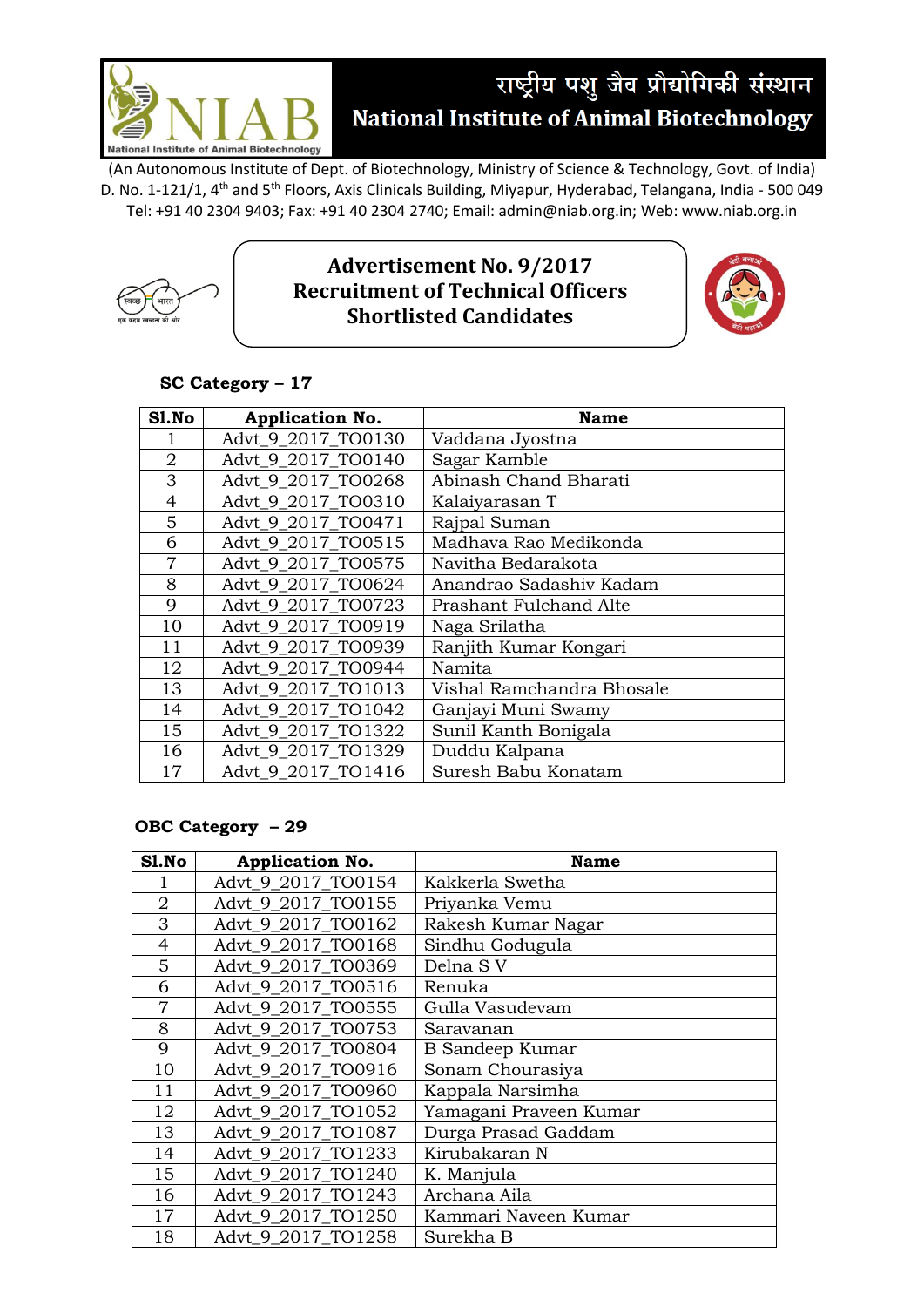

(An Autonomous Institute of Dept. of Biotechnology, Ministry of Science & Technology, Govt. of India) D. No. 1-121/1, 4<sup>th</sup> and 5<sup>th</sup> Floors, Axis Clinicals Building, Miyapur, Hyderabad, Telangana, India - 500 049 Tel: +91 40 2304 9403; Fax: +91 40 2304 2740; Email: admin@niab.org.in; Web: www.niab.org.in



## **Advertisement No. 9/2017 Recruitment of Technical Officers Shortlisted Candidates**



## **SC Category – 17**

| Sl.No          | <b>Application No.</b> | <b>Name</b>               |
|----------------|------------------------|---------------------------|
|                | Advt 9_2017_TO0130     | Vaddana Jyostna           |
| $\overline{2}$ | Advt 9 2017 TO0140     | Sagar Kamble              |
| 3              | Advt 9 2017 TO0268     | Abinash Chand Bharati     |
| $\overline{4}$ | Advt 9 2017 TO0310     | Kalaiyarasan T            |
| 5              | Advt 9 2017 TO0471     | Rajpal Suman              |
| 6              | Advt_9_2017_TO0515     | Madhava Rao Medikonda     |
| $\overline{7}$ | Advt 9 2017 TO0575     | Navitha Bedarakota        |
| 8              | Advt 9 2017 TO0624     | Anandrao Sadashiv Kadam   |
| 9              | Advt_9_2017_TO0723     | Prashant Fulchand Alte    |
| 10             | Advt_9_2017_TO0919     | Naga Srilatha             |
| 11             | Advt 9 2017 TO0939     | Ranjith Kumar Kongari     |
| 12             | Advt 9 2017 TO0944     | Namita                    |
| 13             | Advt 9 2017 TO1013     | Vishal Ramchandra Bhosale |
| 14             | Advt 9 2017 TO1042     | Ganjayi Muni Swamy        |
| 15             | Advt 9 2017 TO1322     | Sunil Kanth Bonigala      |
| 16             | Advt 9 2017 TO1329     | Duddu Kalpana             |
| 17             | Advt 9 2017 TO1416     | Suresh Babu Konatam       |

## **OBC Category – 29**

| Sl.No          | Application No.    | <b>Name</b>            |
|----------------|--------------------|------------------------|
|                | Advt_9_2017_TO0154 | Kakkerla Swetha        |
| $\overline{2}$ | Advt 9 2017 TO0155 | Priyanka Vemu          |
| 3              | Advt 9 2017 TO0162 | Rakesh Kumar Nagar     |
| 4              | Advt 9 2017 TO0168 | Sindhu Godugula        |
| 5              | Advt 9 2017 TO0369 | Delna S V              |
| 6              | Advt 9_2017_TO0516 | Renuka                 |
| $\overline{7}$ | Advt 9 2017 TO0555 | Gulla Vasudevam        |
| 8              | Advt 9 2017 TO0753 | Saravanan              |
| 9              | Advt 9 2017 TO0804 | <b>B</b> Sandeep Kumar |
| 10             | Advt_9_2017_TO0916 | Sonam Chourasiya       |
| 11             | Advt 9 2017 TO0960 | Kappala Narsimha       |
| 12             | Advt 9 2017 TO1052 | Yamagani Praveen Kumar |
| 13             | Advt_9_2017_TO1087 | Durga Prasad Gaddam    |
| 14             | Advt 9 2017 TO1233 | Kirubakaran N          |
| 15             | Advt 9 2017 TO1240 | K. Manjula             |
| 16             | Advt 9 2017 TO1243 | Archana Aila           |
| 17             | Advt 9 2017 TO1250 | Kammari Naveen Kumar   |
| 18             | Advt_9_2017_TO1258 | Surekha B              |